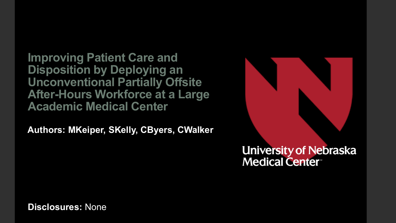**Improving Patient Care and Disposition by Deploying an Unconventional Partially Offsite After-Hours Workforce at a Large Academic Medical Center**

**Authors: MKeiper, SKelly, CByers, CWalker**



**Disclosures:** None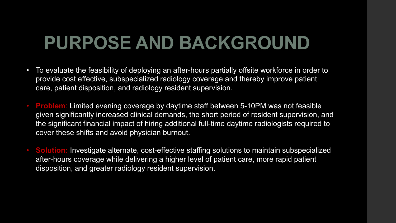## **PURPOSE AND BACKGROUND**

- To evaluate the feasibility of deploying an after-hours partially offsite workforce in order to provide cost effective, subspecialized radiology coverage and thereby improve patient care, patient disposition, and radiology resident supervision.
- **Problem**: Limited evening coverage by daytime staff between 5-10PM was not feasible given significantly increased clinical demands, the short period of resident supervision, and the significant financial impact of hiring additional full-time daytime radiologists required to cover these shifts and avoid physician burnout.
- **Solution:** Investigate alternate, cost-effective staffing solutions to maintain subspecialized after-hours coverage while delivering a higher level of patient care, more rapid patient disposition, and greater radiology resident supervision.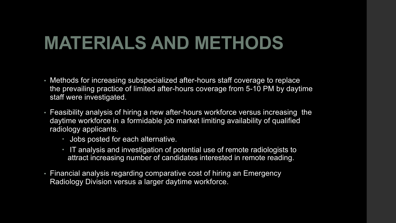## **MATERIALS AND METHODS**

- Methods for increasing subspecialized after-hours staff coverage to replace the prevailing practice of limited after-hours coverage from 5-10 PM by daytime staff were investigated.
- Feasibility analysis of hiring a new after-hours workforce versus increasing the daytime workforce in a formidable job market limiting availability of qualified radiology applicants.
	- Jobs posted for each alternative.
	- IT analysis and investigation of potential use of remote radiologists to attract increasing number of candidates interested in remote reading.
- Financial analysis regarding comparative cost of hiring an Emergency Radiology Division versus a larger daytime workforce.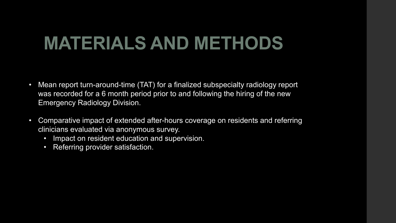## **MATERIALS AND METHODS**

- Mean report turn-around-time (TAT) for a finalized subspecialty radiology report was recorded for a 6 month period prior to and following the hiring of the new Emergency Radiology Division.
- Comparative impact of extended after-hours coverage on residents and referring clinicians evaluated via anonymous survey.
	- Impact on resident education and supervision.
	- Referring provider satisfaction.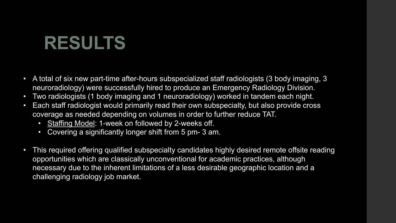- A total of six new part-time after-hours subspecialized staff radiologists (3 body imaging, 3 neuroradiology) were successfully hired to produce an Emergency Radiology Division.
- Two radiologists (1 body imaging and 1 neuroradiology) worked in tandem each night.
- Each staff radiologist would primarily read their own subspecialty, but also provide cross coverage as needed depending on volumes in order to further reduce TAT.
	- Staffing Model: 1-week on followed by 2-weeks off.
	- Covering a significantly longer shift from 5 pm- 3 am.
- This required offering qualified subspecialty candidates highly desired remote offsite reading opportunities which are classically unconventional for academic practices, although necessary due to the inherent limitations of a less desirable geographic location and a challenging radiology job market.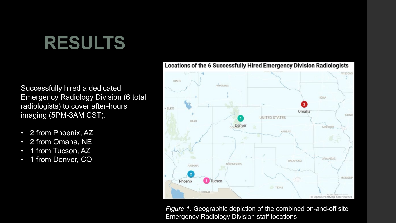Successfully hired a dedicated Emergency Radiology Division (6 total radiologists) to cover after-hours imaging (5PM-3AM CST).

- 2 from Phoenix, AZ
- 2 from Omaha, NE
- 1 from Tucson, AZ
- 1 from Denver, CO



*Figure 1.* Geographic depiction of the combined on-and-off site Emergency Radiology Division staff locations.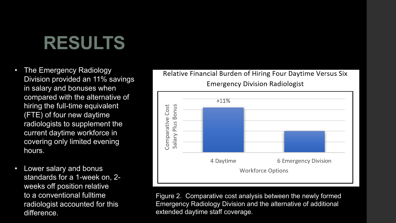- The Emergency Radiology Division provided an 11% savings in salary and bonuses when compared with the alternative of hiring the full-time equivalent (FTE) of four new daytime radiologists to supplement the current daytime workforce in covering only limited evening hours.
- Lower salary and bonus standards for a 1-week on, 2 weeks off position relative to a conventional fulltime radiologist accounted for this difference.





Figure 2. Comparative cost analysis between the newly formed Emergency Radiology Division and the alternative of additional extended daytime staff coverage.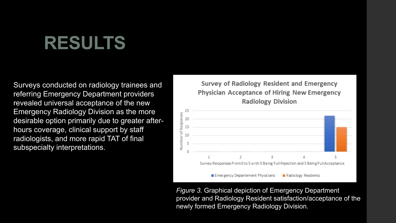Surveys conducted on radiology trainees and referring Emergency Department providers revealed universal acceptance of the new Emergency Radiology Division as the more desirable option primarily due to greater afterhours coverage, clinical support by staff radiologists, and more rapid TAT of final subspecialty interpretations.

Survey of Radiology Resident and Emergency Physician Acceptance of Hiring New Emergency **Radiology Division** 



*Figure 3.* Graphical depiction of Emergency Department provider and Radiology Resident satisfaction/acceptance of the newly formed Emergency Radiology Division.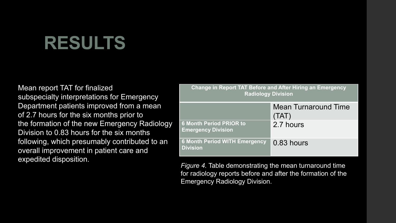Mean report TAT for finalized subspecialty interpretations for Emergency Department patients improved from a mean of 2.7 hours for the six months prior to the formation of the new Emergency Radiology Division to 0.83 hours for the six months following, which presumably contributed to an overall improvement in patient care and expedited disposition.

| <b>Change in Report TAT Before and After Hiring an Emergency</b><br><b>Radiology Division</b> |                                      |
|-----------------------------------------------------------------------------------------------|--------------------------------------|
|                                                                                               | <b>Mean Turnaround Time</b><br>(TAT) |
| <b>6 Month Period PRIOR to</b><br><b>Emergency Division</b>                                   | 2.7 hours                            |
| <b>6 Month Period WITH Emergency</b><br><b>Division</b>                                       | 0.83 hours                           |

*Figure 4.* Table demonstrating the mean turnaround time for radiology reports before and after the formation of the Emergency Radiology Division.